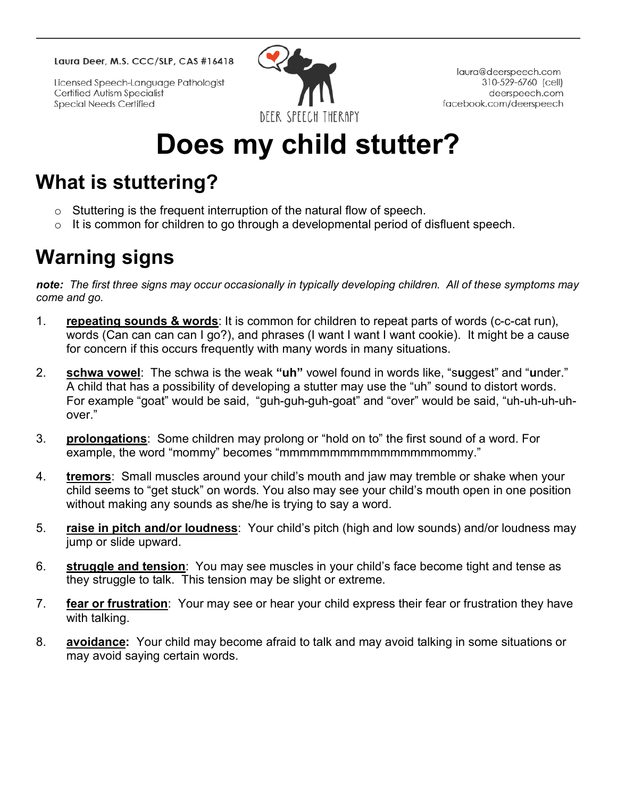Laura Deer, M.S. CCC/SLP, CAS #16418

Licensed Speech-Language Pathologist Certified Autism Specialist **Special Needs Certified** 



laura@deerspeech.com 310-529-6760 (cell) deerspeech.com facebook.com/deerspeech

# **Does my child stutter?**

## **What is stuttering?**

- o Stuttering is the frequent interruption of the natural flow of speech.
- $\circ$  It is common for children to go through a developmental period of disfluent speech.

# **Warning signs**

*note: The first three signs may occur occasionally in typically developing children. All of these symptoms may come and go.*

- 1. **repeating sounds & words**: It is common for children to repeat parts of words (c-c-cat run), words (Can can can can I go?), and phrases (I want I want I want cookie). It might be a cause for concern if this occurs frequently with many words in many situations.
- 2. **schwa vowel**: The schwa is the weak **"uh"** vowel found in words like, "s**u**ggest" and "**u**nder." A child that has a possibility of developing a stutter may use the "uh" sound to distort words. For example "goat" would be said, "guh-guh-guh-goat" and "over" would be said, "uh-uh-uh-uhover."
- 3. **prolongations**: Some children may prolong or "hold on to" the first sound of a word. For example, the word "mommy" becomes "mmmmmmmmmmmmmmmmmmmmmmmmm"."
- 4. **tremors**: Small muscles around your child's mouth and jaw may tremble or shake when your child seems to "get stuck" on words. You also may see your child's mouth open in one position without making any sounds as she/he is trying to say a word.
- 5. **raise in pitch and/or loudness**: Your child's pitch (high and low sounds) and/or loudness may jump or slide upward.
- 6. **struggle and tension**: You may see muscles in your child's face become tight and tense as they struggle to talk. This tension may be slight or extreme.
- 7. **fear or frustration**: Your may see or hear your child express their fear or frustration they have with talking.
- 8. **avoidance:** Your child may become afraid to talk and may avoid talking in some situations or may avoid saying certain words.